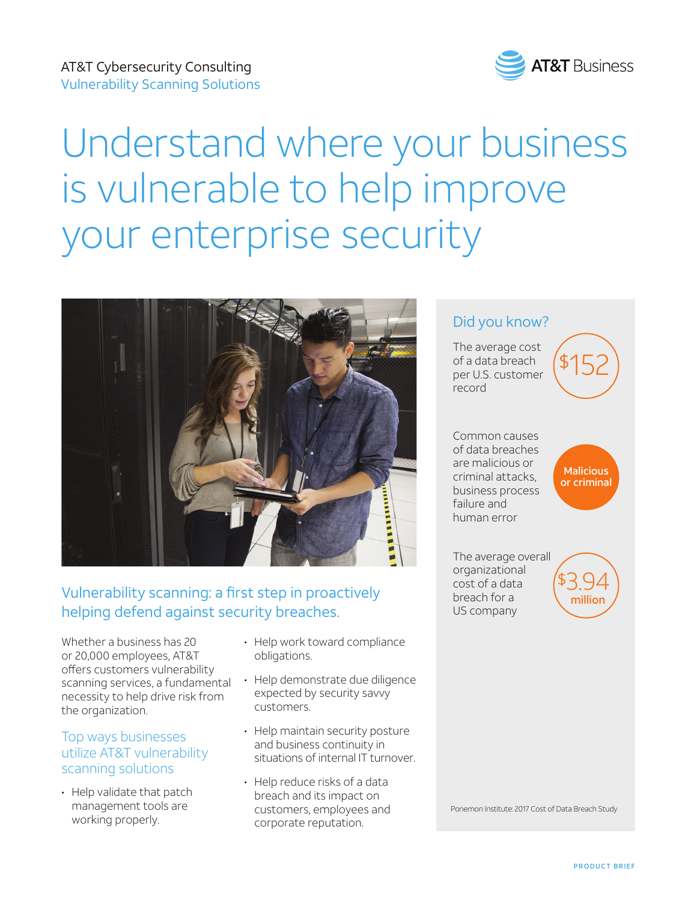

# Understand where your business is vulnerable to help improve your enterprise security



## Vulnerability scanning: a first step in proactively helping defend against security breaches.

Whether a business has 20 or 20,000 employees, AT&T offers customers vulnerability scanning services, a fundamental necessity to help drive risk from the organization.

#### Top ways businesses utilize AT&T vulnerability scanning solutions

• Help validate that patch management tools are working properly.

- Help work toward compliance obligations.
- Help demonstrate due diligence expected by security savvy customers.
- Help maintain security posture and business continuity in situations of internal IT turnover.
- Help reduce risks of a data breach and its impact on customers, employees and corporate reputation.



Ponemon Institute: 2017 Cost of Data Breach Study